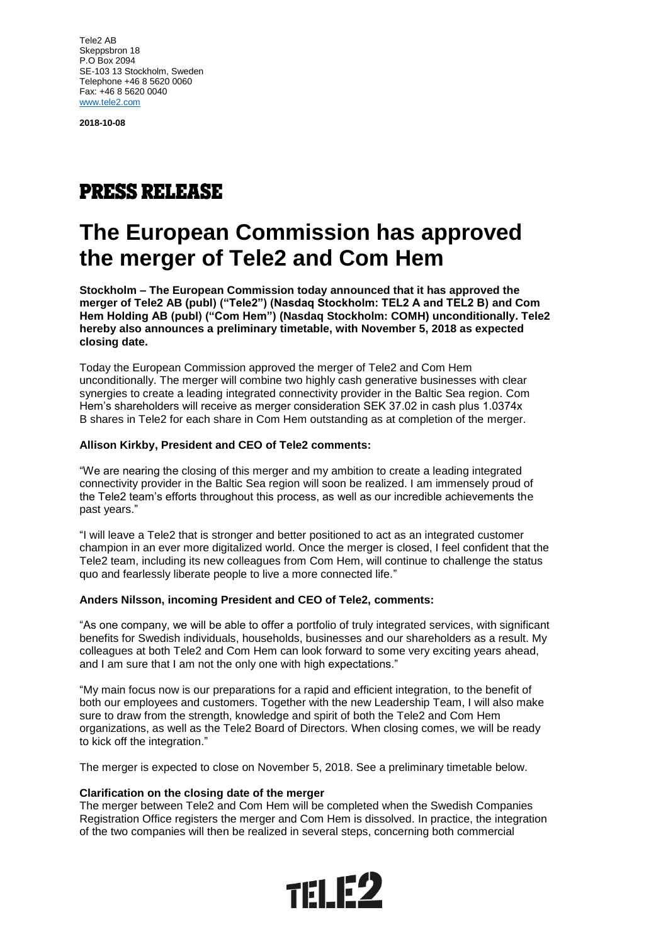Tele2 AB Skeppsbron 18 P.O Box 2094 SE-103 13 Stockholm, Sweden Telephone +46 8 5620 0060 Fax: +46 8 5620 0040 [www.tele2.com](http://www.tele2.com/)

**2018-10-08**

# **PRESS RELEASE**

# **The European Commission has approved the merger of Tele2 and Com Hem**

**Stockholm – The European Commission today announced that it has approved the merger of Tele2 AB (publ) ("Tele2") (Nasdaq Stockholm: TEL2 A and TEL2 B) and Com Hem Holding AB (publ) ("Com Hem") (Nasdaq Stockholm: COMH) unconditionally. Tele2 hereby also announces a preliminary timetable, with November 5, 2018 as expected closing date.**

Today the European Commission approved the merger of Tele2 and Com Hem unconditionally. The merger will combine two highly cash generative businesses with clear synergies to create a leading integrated connectivity provider in the Baltic Sea region. Com Hem's shareholders will receive as merger consideration SEK 37.02 in cash plus 1.0374x B shares in Tele2 for each share in Com Hem outstanding as at completion of the merger.

## **Allison Kirkby, President and CEO of Tele2 comments:**

"We are nearing the closing of this merger and my ambition to create a leading integrated connectivity provider in the Baltic Sea region will soon be realized. I am immensely proud of the Tele2 team's efforts throughout this process, as well as our incredible achievements the past years."

"I will leave a Tele2 that is stronger and better positioned to act as an integrated customer champion in an ever more digitalized world. Once the merger is closed, I feel confident that the Tele2 team, including its new colleagues from Com Hem, will continue to challenge the status quo and fearlessly liberate people to live a more connected life."

## **Anders Nilsson, incoming President and CEO of Tele2, comments:**

"As one company, we will be able to offer a portfolio of truly integrated services, with significant benefits for Swedish individuals, households, businesses and our shareholders as a result. My colleagues at both Tele2 and Com Hem can look forward to some very exciting years ahead, and I am sure that I am not the only one with high expectations."

"My main focus now is our preparations for a rapid and efficient integration, to the benefit of both our employees and customers. Together with the new Leadership Team, I will also make sure to draw from the strength, knowledge and spirit of both the Tele2 and Com Hem organizations, as well as the Tele2 Board of Directors. When closing comes, we will be ready to kick off the integration."

The merger is expected to close on November 5, 2018. See a preliminary timetable below.

## **Clarification on the closing date of the merger**

The merger between Tele2 and Com Hem will be completed when the Swedish Companies Registration Office registers the merger and Com Hem is dissolved. In practice, the integration of the two companies will then be realized in several steps, concerning both commercial